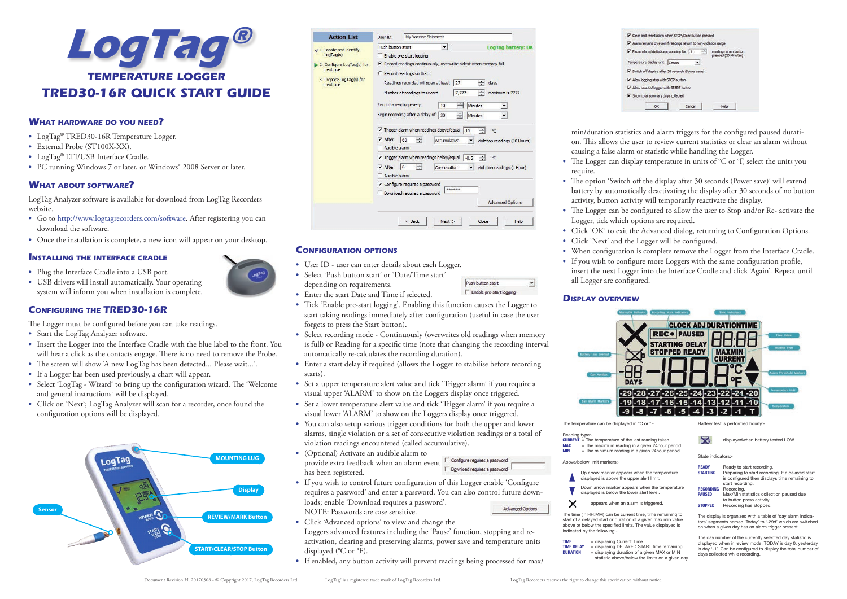

# **What hardware do you need?**

- **•** LogTag® TRED30-16R Temperature Logger.
- **•** External Probe (ST100X-XX).
- **•** LogTag® LTI/USB Interface Cradle.
- **•** PC running Windows 7 or later, or Windows® 2008 Server or later.

# **What about software?**

LogTag Analyzer software is available for download from LogTag Recorders website.

- **•** Go to http://www.logtagrecorders.com/software. After registering you can download the software.
- **•** Once the installation is complete, a new icon will appear on your desktop.

### **Installing the interface cradle**

- **•** Plug the Interface Cradle into a USB port.
- **•** USB drivers will install automatically. Your operating system will inform you when installation is complete.

# **Configuring the TRED30-16R**

The Logger must be configured before you can take readings.

- **•** Start the LogTag Analyzer software.
- **•** Insert the Logger into the Interface Cradle with the blue label to the front. You will hear a click as the contacts engage. There is no need to remove the Probe.
- **•** The screen will show 'A new LogTag has been detected... Please wait...'.
- **•** If a Logger has been used previously, a chart will appear.
- **•** Select 'LogTag Wizard' to bring up the configuration wizard. The 'Welcome and general instructions' will be displayed.
- **•** Click on 'Next'; LogTag Analyzer will scan for a recorder, once found the configuration options will be displayed.



| <b>Action List</b>                                                                          | My Vaccine Shipment<br>User ID:                                                                                                                                                                                                                                                                                                                                                                                                                                                                                                                                                                                              |
|---------------------------------------------------------------------------------------------|------------------------------------------------------------------------------------------------------------------------------------------------------------------------------------------------------------------------------------------------------------------------------------------------------------------------------------------------------------------------------------------------------------------------------------------------------------------------------------------------------------------------------------------------------------------------------------------------------------------------------|
| 1. Locate and identify                                                                      | Push button start<br>LogTag battery: OK<br>۰                                                                                                                                                                                                                                                                                                                                                                                                                                                                                                                                                                                 |
| LogTag(s)<br>2. Configure LogTag(s) for<br>next use<br>3. Prepare LogTag(s) for<br>next use | Enable pre-start logging<br>Record readings continuously, overwrite oldest when memory full<br>C Record readings so that:<br>Readings recorded will span at least<br>27<br>days<br>÷<br>Number of readings to record<br>7,777<br>maximum is 7777<br>Record a reading every<br>÷<br>10<br>Minutes<br>Begin recording after a delay of<br>÷<br>30<br>Minutes<br>$\triangledown$ Trigger alarm when readings above/equal<br>10<br>°C<br>$\triangledown$ After<br>$\div$<br>60<br>Accumulative<br>violation readings (10 Hours)<br>Audible alarm<br>$\triangledown$ Trigger alarm when readings below/equal<br>$-0.5$<br>÷<br>°C |
|                                                                                             | $\overline{\mathsf{v}}$ After<br>6<br>Consecutive<br>violation readings (1 Hour)<br>Audible alarm                                                                                                                                                                                                                                                                                                                                                                                                                                                                                                                            |
|                                                                                             | Configure requires a password<br>******<br>Download requires a password<br><b>Advanced Options</b>                                                                                                                                                                                                                                                                                                                                                                                                                                                                                                                           |

# **Configuration options**

- **•** User ID user can enter details about each Logger.
- **•** Select 'Push button start' or 'Date/Time start' depending on requirements.
- **•** Enter the start Date and Time if selected.
- **•** Tick 'Enable pre-start logging'. Enabling this function causes the Logger to start taking readings immediately after configuration (useful in case the user forgets to press the Start button).

 $<$  Back

 $Next >$ 

Close

Push button start

F Enable pre-start logging

Help

 $\cdot$ 

- Select recording mode Continuously (overwrites old readings when memory is full) or Reading for a specific time (note that changing the recording interval automatically re-calculates the recording duration).
- Enter a start delay if required (allows the Logger to stabilise before recording starts).
- **•** Set a upper temperature alert value and tick 'Trigger alarm' if you require a visual upper 'ALARM' to show on the Loggers display once triggered.
- **•** Set a lower temperature alert value and tick 'Trigger alarm' if you require a visual lower 'ALARM' to show on the Loggers display once triggered.
- **•** You can also setup various trigger conditions for both the upper and lower alarms, single violation or a set of consecutive violation readings or a total of violation readings encountered (called accumulative).
- **•** (Optional) Activate an audible alarm to provide extra feedback when an alarm event  $\overline{\Gamma}$  configure reguires a password has been registered.



- **•** If you wish to control future configuration of this Logger enable 'Configure requires a password' and enter a password. You can also control future downloads; enable 'Download requires a password'. Advanged Options
- NOTE: Passwords are case sensitive.
- **•** Click 'Advanced options' to view and change the
- Loggers advanced features including the 'Pause' function, stopping and reactivation, clearing and preserving alarms, power save and temperature units displayed (°C or °F).
- **•** If enabled, any button activity will prevent readings being processed for max/



min/duration statistics and alarm triggers for the configured paused duration. This allows the user to review current statistics or clear an alarm without causing a false alarm or statistic while handling the Logger.

- **•** The Logger can display temperature in units of °C or °F, select the units you require.
- **•** The option 'Switch off the display after 30 seconds (Power save)' will extend battery by automatically deactivating the display after 30 seconds of no button activity, button activity will temporarily reactivate the display.
- **•** The Logger can be configured to allow the user to Stop and/or Re- activate the Logger, tick which options are required.
- Click 'OK' to exit the Advanced dialog, returning to Configuration Options.
- **•** Click 'Next' and the Logger will be configured.
- **•** When configuration is complete remove the Logger from the Interface Cradle.
- **•** If you wish to configure more Loggers with the same configuration profile, insert the next Logger into the Interface Cradle and click 'Again'. Repeat until all Logger are configured.

# **Display overview**



The temperature can be displayed in °C or °F.

- Reading type:- **CURRENT** = The temperature of the last reading taken.<br>MAX = The maximum reading in a given 24hour p  $MAX = THe$  maximum reading in a given 24hour period.<br> $MIN = The$  miximum reading in a given 24hour period.
- $=$  The minimum reading in a given 24hour period. Above/below limit markers:-
- Up arrow marker appears when the temperature displayed is above the upper alert limit.
- Down arrow marker appears when the tempe displayed is below the lower alert level.



The time (in HH:MM) can be current time, time remaining to start of a delayed start or duration of a given max min value above or below the specified limits. The value displayed is indicated by the following:-

 $TIME = display = display = display = 10P100$  = displaying Current Time. TIME DELAY = displaying DELAYED START time remaining.<br>DURATION = displaying duration of a given MAX or MIN displaying duration of a given MAX or MIN statistic above/below the limits on a given day. Battery test is performed hourly:-

 $\infty$ displayedwhen battery tested I OW

State indicators:

- **READY** Ready to start recording.<br> **STARTING** Preparing to start recording Preparing to start recording. If a delayed start is configured then displays time remaining to start recording.
- **RECORDING** Recording.<br>PAUSED May/Min.et Max/Min statistics collection paused du to button press activity.
- STOPPED Recording has stopped.

The display is organized with a table of 'day alarm indicators' segments named 'Today' to '-29d' which are switched on when a given day has an alarm trigger present.

The day number of the currently selected day statistic is displayed when in review mode. TODAY is day 0, yesterday is day '-1'. Can be configured to display the total number of days collected while recording.